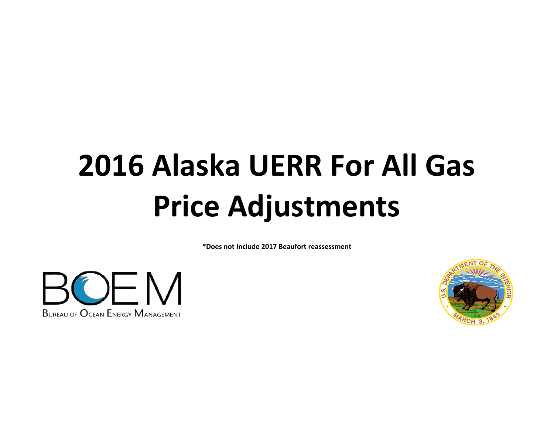# **2016 Alaska UERR For All Gas Price Adjustments**

**\*Does not Include 2017 Beaufort reassessment**



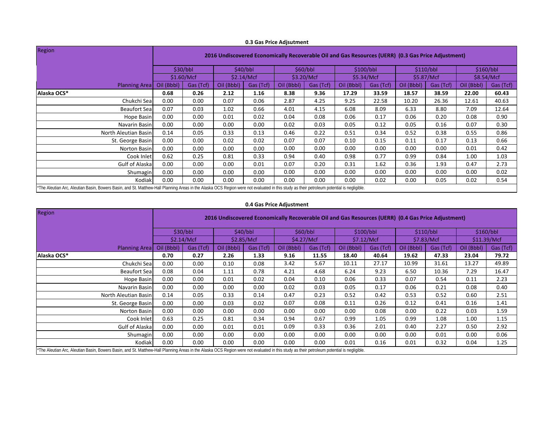|                                                                                                                                                                                            |                                                                                                    |                          |            |           | 0.5 Gas The Auputinent |           |            |           |            |           |            |           |
|--------------------------------------------------------------------------------------------------------------------------------------------------------------------------------------------|----------------------------------------------------------------------------------------------------|--------------------------|------------|-----------|------------------------|-----------|------------|-----------|------------|-----------|------------|-----------|
| Region                                                                                                                                                                                     | 2016 Undiscovered Economically Recoverable Oil and Gas Resources (UERR) (0.3 Gas Price Adjustment) |                          |            |           |                        |           |            |           |            |           |            |           |
|                                                                                                                                                                                            |                                                                                                    | \$30/bbl                 |            | \$40/bbl  |                        | \$60/bbl  | \$100/bbl  |           | \$110/bbl  |           |            | \$160/bbl |
|                                                                                                                                                                                            |                                                                                                    | \$1.60/Mcf<br>\$2.14/Mcf |            |           | \$3.20/Mcf             |           | \$5.34/Mcf |           | \$5.87/Mcf |           | \$8.54/Mcf |           |
| <b>Planning Area</b>                                                                                                                                                                       | Oil (Bbbl)                                                                                         | Gas (Tcf)                | Oil (Bbbl) | Gas (Tcf) | Oil (Bbbl)             | Gas (Tcf) | Oil (Bbbl) | Gas (Tcf) | Oil (Bbbl) | Gas (Tcf) | Oil (Bbbl) | Gas (Tcf) |
| Alaska OCS*                                                                                                                                                                                | 0.68                                                                                               | 0.26                     | 2.12       | 1.16      | 8.38                   | 9.36      | 17.29      | 33.59     | 18.57      | 38.59     | 22.00      | 60.43     |
| Chukchi Sea                                                                                                                                                                                | 0.00                                                                                               | 0.00                     | 0.07       | 0.06      | 2.87                   | 4.25      | 9.25       | 22.58     | 10.20      | 26.36     | 12.61      | 40.63     |
| <b>Beaufort Sea</b>                                                                                                                                                                        | 0.07                                                                                               | 0.03                     | 1.02       | 0.66      | 4.01                   | 4.15      | 6.08       | 8.09      | 6.33       | 8.80      | 7.09       | 12.64     |
| Hope Basin                                                                                                                                                                                 | 0.00                                                                                               | 0.00                     | 0.01       | 0.02      | 0.04                   | 0.08      | 0.06       | 0.17      | 0.06       | 0.20      | 0.08       | 0.90      |
| Navarin Basin                                                                                                                                                                              | 0.00                                                                                               | 0.00                     | 0.00       | 0.00      | 0.02                   | 0.03      | 0.05       | 0.12      | 0.05       | 0.16      | 0.07       | 0.30      |
| North Aleutian Basin                                                                                                                                                                       | 0.14                                                                                               | 0.05                     | 0.33       | 0.13      | 0.46                   | 0.22      | 0.51       | 0.34      | 0.52       | 0.38      | 0.55       | 0.86      |
| St. George Basin                                                                                                                                                                           | 0.00                                                                                               | 0.00                     | 0.02       | 0.02      | 0.07                   | 0.07      | 0.10       | 0.15      | 0.11       | 0.17      | 0.13       | 0.66      |
| Norton Basin                                                                                                                                                                               | 0.00                                                                                               | 0.00                     | 0.00       | 0.00      | 0.00                   | 0.00      | 0.00       | 0.00      | 0.00       | 0.00      | 0.01       | 0.42      |
| Cook Inlet                                                                                                                                                                                 | 0.62                                                                                               | 0.25                     | 0.81       | 0.33      | 0.94                   | 0.40      | 0.98       | 0.77      | 0.99       | 0.84      | 1.00       | 1.03      |
| Gulf of Alaska                                                                                                                                                                             | 0.00                                                                                               | 0.00                     | 0.00       | 0.01      | 0.07                   | 0.20      | 0.31       | 1.62      | 0.36       | 1.93      | 0.47       | 2.73      |
| Shumagin                                                                                                                                                                                   | 0.00                                                                                               | 0.00                     | 0.00       | 0.00      | 0.00                   | 0.00      | 0.00       | 0.00      | 0.00       | 0.00      | 0.00       | 0.02      |
| Kodiak                                                                                                                                                                                     | 0.00                                                                                               | 0.00                     | 0.00       | 0.00      | 0.00                   | 0.00      | 0.00       | 0.02      | 0.00       | 0.05      | 0.02       | 0.54      |
| *The Aleutian Arc, Aleutian Basin, Bowers Basin, and St. Matthew-Hall Planning Areas in the Alaska OCS Region were not evaluated in this study as their petroleum potential is negligible. |                                                                                                    |                          |            |           |                        |           |            |           |            |           |            |           |

### **0.3 Gas Price Adjsutment**

# **0.4 Gas Price Adjustment**

| <b>Region</b>                                                                                                                                                                              | 2016 Undiscovered Economically Recoverable Oil and Gas Resources (UERR) (0.4 Gas Price Adjustment) |           |            |           |            |           |            |           |            |           |             |           |  |
|--------------------------------------------------------------------------------------------------------------------------------------------------------------------------------------------|----------------------------------------------------------------------------------------------------|-----------|------------|-----------|------------|-----------|------------|-----------|------------|-----------|-------------|-----------|--|
|                                                                                                                                                                                            | \$30/bbl                                                                                           |           | \$40/bbl   |           | \$60/bbl   |           | \$100/bbl  |           | \$110/bbl  |           | \$160/bbl   |           |  |
|                                                                                                                                                                                            | \$2.14/Mcf                                                                                         |           | \$2.85/Mcf |           | \$4.27/Mcf |           | \$7.12/Mcf |           | \$7.83/Mcf |           | \$11.39/Mcf |           |  |
| <b>Planning Areal</b>                                                                                                                                                                      | Oil (Bbbl)                                                                                         | Gas (Tcf) | Oil (Bbbl) | Gas (Tcf) | Oil (Bbbl) | Gas (Tcf) | Oil (Bbbl) | Gas (Tcf) | Oil (Bbbl) | Gas (Tcf) | Oil (Bbbl)  | Gas (Tcf) |  |
| Alaska OCS*                                                                                                                                                                                | 0.70                                                                                               | 0.27      | 2.26       | 1.33      | 9.16       | 11.55     | 18.40      | 40.64     | 19.62      | 47.33     | 23.04       | 79.72     |  |
| Chukchi Sea                                                                                                                                                                                | 0.00                                                                                               | 0.00      | 0.10       | 0.08      | 3.42       | 5.67      | 10.11      | 27.17     | 10.99      | 31.61     | 13.27       | 49.89     |  |
| <b>Beaufort Sea</b>                                                                                                                                                                        | 0.08                                                                                               | 0.04      | 1.11       | 0.78      | 4.21       | 4.68      | 6.24       | 9.23      | 6.50       | 10.36     | 7.29        | 16.47     |  |
| Hope Basin                                                                                                                                                                                 | 0.00                                                                                               | 0.00      | 0.01       | 0.02      | 0.04       | 0.10      | 0.06       | 0.33      | 0.07       | 0.54      | 0.11        | 2.23      |  |
| Navarin Basin                                                                                                                                                                              | 0.00                                                                                               | 0.00      | 0.00       | 0.00      | 0.02       | 0.03      | 0.05       | 0.17      | 0.06       | 0.21      | 0.08        | 0.40      |  |
| North Aleutian Basin                                                                                                                                                                       | 0.14                                                                                               | 0.05      | 0.33       | 0.14      | 0.47       | 0.23      | 0.52       | 0.42      | 0.53       | 0.52      | 0.60        | 2.51      |  |
| St. George Basin                                                                                                                                                                           | 0.00                                                                                               | 0.00      | 0.03       | 0.02      | 0.07       | 0.08      | 0.11       | 0.26      | 0.12       | 0.41      | 0.16        | 1.41      |  |
| Norton Basin                                                                                                                                                                               | 0.00                                                                                               | 0.00      | 0.00       | 0.00      | 0.00       | 0.00      | 0.00       | 0.08      | 0.00       | 0.22      | 0.03        | 1.59      |  |
| Cook Inlet                                                                                                                                                                                 | 0.63                                                                                               | 0.25      | 0.81       | 0.34      | 0.94       | 0.67      | 0.99       | 1.05      | 0.99       | 1.08      | 1.00        | 1.15      |  |
| Gulf of Alaska                                                                                                                                                                             | 0.00                                                                                               | 0.00      | 0.01       | 0.01      | 0.09       | 0.33      | 0.36       | 2.01      | 0.40       | 2.27      | 0.50        | 2.92      |  |
| Shumagin                                                                                                                                                                                   | 0.00                                                                                               | 0.00      | 0.00       | 0.00      | 0.00       | 0.00      | 0.00       | 0.00      | 0.00       | 0.01      | 0.00        | 0.06      |  |
| Kodiak                                                                                                                                                                                     | 0.00                                                                                               | 0.00      | 0.00       | 0.00      | 0.00       | 0.00      | 0.01       | 0.16      | 0.01       | 0.32      | 0.04        | 1.25      |  |
| *The Aleutian Arc, Aleutian Basin, Bowers Basin, and St. Matthew-Hall Planning Areas in the Alaska OCS Region were not evaluated in this study as their petroleum potential is negligible. |                                                                                                    |           |            |           |            |           |            |           |            |           |             |           |  |